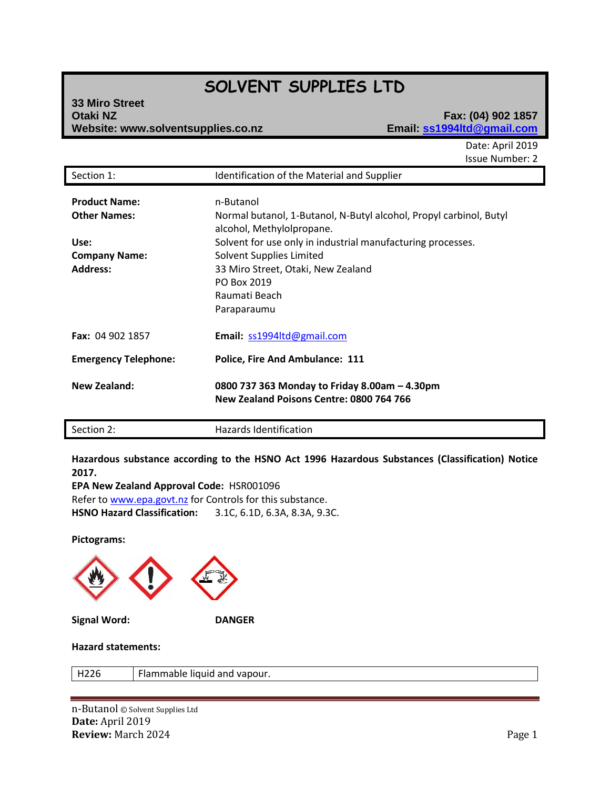# **SOLVENT SUPPLIES LTD**

| 33 Miro Street                     |
|------------------------------------|
| <b>Otaki NZ</b>                    |
| Website: www.solventsupplies.co.na |

### **Otaki NZ Fax: (04) 902 1857 Website: www.solventsupplies.co.nz Email: ss1994ltd@gmail.com**

Date: April 2019 Issue Number: 2

| Section 1:                                                                                     | Identification of the Material and Supplier                                                                                                                                                                                                                                                  |
|------------------------------------------------------------------------------------------------|----------------------------------------------------------------------------------------------------------------------------------------------------------------------------------------------------------------------------------------------------------------------------------------------|
| <b>Product Name:</b><br><b>Other Names:</b><br>Use:<br><b>Company Name:</b><br><b>Address:</b> | n-Butanol<br>Normal butanol, 1-Butanol, N-Butyl alcohol, Propyl carbinol, Butyl<br>alcohol, Methylolpropane.<br>Solvent for use only in industrial manufacturing processes.<br>Solvent Supplies Limited<br>33 Miro Street, Otaki, New Zealand<br>PO Box 2019<br>Raumati Beach<br>Paraparaumu |
| Fax: 04 902 1857                                                                               | Email: ss1994ltd@gmail.com                                                                                                                                                                                                                                                                   |
| <b>Emergency Telephone:</b>                                                                    | <b>Police, Fire And Ambulance: 111</b>                                                                                                                                                                                                                                                       |
| <b>New Zealand:</b>                                                                            | 0800 737 363 Monday to Friday 8.00am - 4.30pm<br>New Zealand Poisons Centre: 0800 764 766                                                                                                                                                                                                    |

**Hazardous substance according to the HSNO Act 1996 Hazardous Substances (Classification) Notice 2017.**

**EPA New Zealand Approval Code:** HSR001096 Refer t[o www.epa.govt.nz](http://www.epa.govt.nz/) for Controls for this substance. **HSNO Hazard Classification:** 3.1C, 6.1D, 6.3A, 8.3A, 9.3C.

Section 2: **Hazards Identification** 

**Pictograms:**



#### **Hazard statements:**

H226 Flammable liquid and vapour.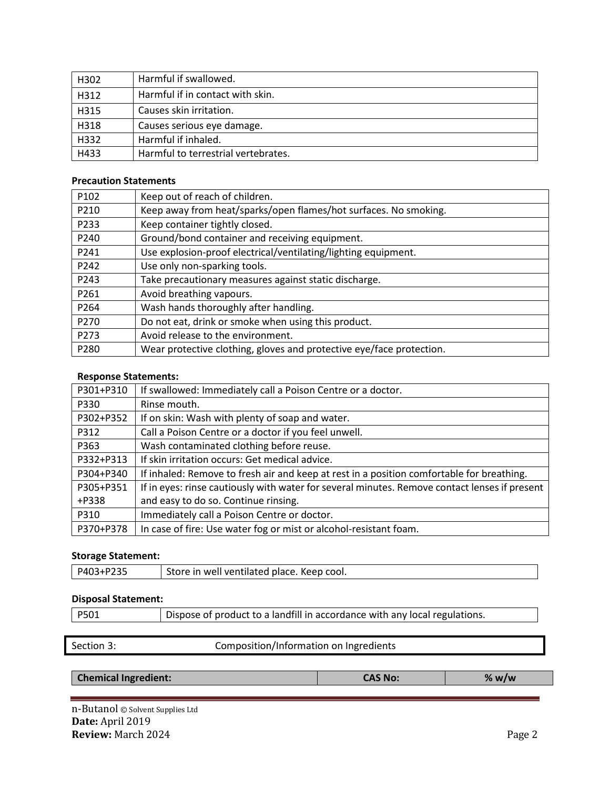| H302 | Harmful if swallowed.               |
|------|-------------------------------------|
| H312 | Harmful if in contact with skin.    |
| H315 | Causes skin irritation.             |
| H318 | Causes serious eye damage.          |
| H332 | Harmful if inhaled.                 |
| H433 | Harmful to terrestrial vertebrates. |

#### **Precaution Statements**

| P102             | Keep out of reach of children.                                       |
|------------------|----------------------------------------------------------------------|
| P210             | Keep away from heat/sparks/open flames/hot surfaces. No smoking.     |
| P233             | Keep container tightly closed.                                       |
| P240             | Ground/bond container and receiving equipment.                       |
| P241             | Use explosion-proof electrical/ventilating/lighting equipment.       |
| P242             | Use only non-sparking tools.                                         |
| P243             | Take precautionary measures against static discharge.                |
| P261             | Avoid breathing vapours.                                             |
| P <sub>264</sub> | Wash hands thoroughly after handling.                                |
| P <sub>270</sub> | Do not eat, drink or smoke when using this product.                  |
| P <sub>273</sub> | Avoid release to the environment.                                    |
| P280             | Wear protective clothing, gloves and protective eye/face protection. |

#### **Response Statements:**

| P301+P310 | If swallowed: Immediately call a Poison Centre or a doctor.                                   |
|-----------|-----------------------------------------------------------------------------------------------|
| P330      | Rinse mouth.                                                                                  |
| P302+P352 | If on skin: Wash with plenty of soap and water.                                               |
| P312      | Call a Poison Centre or a doctor if you feel unwell.                                          |
| P363      | Wash contaminated clothing before reuse.                                                      |
| P332+P313 | If skin irritation occurs: Get medical advice.                                                |
| P304+P340 | If inhaled: Remove to fresh air and keep at rest in a position comfortable for breathing.     |
| P305+P351 | If in eyes: rinse cautiously with water for several minutes. Remove contact lenses if present |
| +P338     | and easy to do so. Continue rinsing.                                                          |
| P310      | Immediately call a Poison Centre or doctor.                                                   |
| P370+P378 | In case of fire: Use water fog or mist or alcohol-resistant foam.                             |

#### **Storage Statement:**

| P403+P235 | Store in well ventilated place. Keep cool. |
|-----------|--------------------------------------------|
|           |                                            |

## **Disposal Statement:**

Section 3: Composition/Information on Ingredients

**Chemical Ingredient: CAS No: % w/w**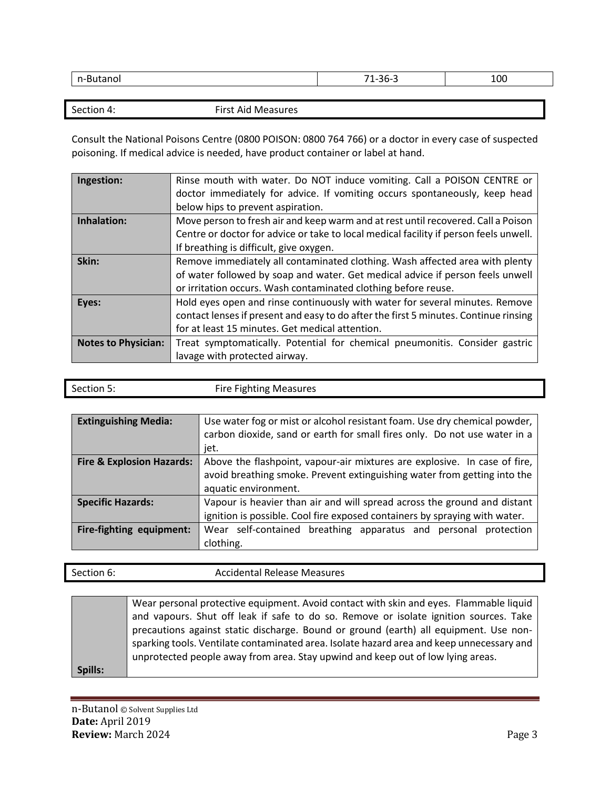| <br>-- - -<br>∍uld∏u. | $\sim$ $\sim$<br>74<br><u>JUJ</u> | 100 |
|-----------------------|-----------------------------------|-----|
|                       |                                   |     |

Section 4: First Aid Measures

Consult the National Poisons Centre (0800 POISON: 0800 764 766) or a doctor in every case of suspected poisoning. If medical advice is needed, have product container or label at hand.

| Ingestion:                 | Rinse mouth with water. Do NOT induce vomiting. Call a POISON CENTRE or<br>doctor immediately for advice. If vomiting occurs spontaneously, keep head |
|----------------------------|-------------------------------------------------------------------------------------------------------------------------------------------------------|
|                            | below hips to prevent aspiration.                                                                                                                     |
| Inhalation:                | Move person to fresh air and keep warm and at rest until recovered. Call a Poison                                                                     |
|                            | Centre or doctor for advice or take to local medical facility if person feels unwell.                                                                 |
|                            | If breathing is difficult, give oxygen.                                                                                                               |
| Skin:                      | Remove immediately all contaminated clothing. Wash affected area with plenty                                                                          |
|                            | of water followed by soap and water. Get medical advice if person feels unwell                                                                        |
|                            | or irritation occurs. Wash contaminated clothing before reuse.                                                                                        |
| Eyes:                      | Hold eyes open and rinse continuously with water for several minutes. Remove                                                                          |
|                            | contact lenses if present and easy to do after the first 5 minutes. Continue rinsing                                                                  |
|                            | for at least 15 minutes. Get medical attention.                                                                                                       |
| <b>Notes to Physician:</b> | Treat symptomatically. Potential for chemical pneumonitis. Consider gastric                                                                           |
|                            | lavage with protected airway.                                                                                                                         |

| Section 5: | <b>Fire Fighting Measures</b> |
|------------|-------------------------------|
|            |                               |

| <b>Extinguishing Media:</b>          | Use water fog or mist or alcohol resistant foam. Use dry chemical powder,<br>carbon dioxide, sand or earth for small fires only. Do not use water in a<br>jet. |  |
|--------------------------------------|----------------------------------------------------------------------------------------------------------------------------------------------------------------|--|
| <b>Fire &amp; Explosion Hazards:</b> | Above the flashpoint, vapour-air mixtures are explosive. In case of fire,                                                                                      |  |
|                                      | avoid breathing smoke. Prevent extinguishing water from getting into the<br>aquatic environment.                                                               |  |
|                                      |                                                                                                                                                                |  |
| <b>Specific Hazards:</b>             | Vapour is heavier than air and will spread across the ground and distant                                                                                       |  |
|                                      | ignition is possible. Cool fire exposed containers by spraying with water.                                                                                     |  |
| Fire-fighting equipment:             | Wear self-contained breathing apparatus and personal protection                                                                                                |  |
|                                      | clothing.                                                                                                                                                      |  |

| Section 6: | <b>Accidental Release Measures</b> |
|------------|------------------------------------|
|            |                                    |

|         | Wear personal protective equipment. Avoid contact with skin and eyes. Flammable liquid    |
|---------|-------------------------------------------------------------------------------------------|
|         | and vapours. Shut off leak if safe to do so. Remove or isolate ignition sources. Take     |
|         | precautions against static discharge. Bound or ground (earth) all equipment. Use non-     |
|         | sparking tools. Ventilate contaminated area. Isolate hazard area and keep unnecessary and |
|         | unprotected people away from area. Stay upwind and keep out of low lying areas.           |
| Spills: |                                                                                           |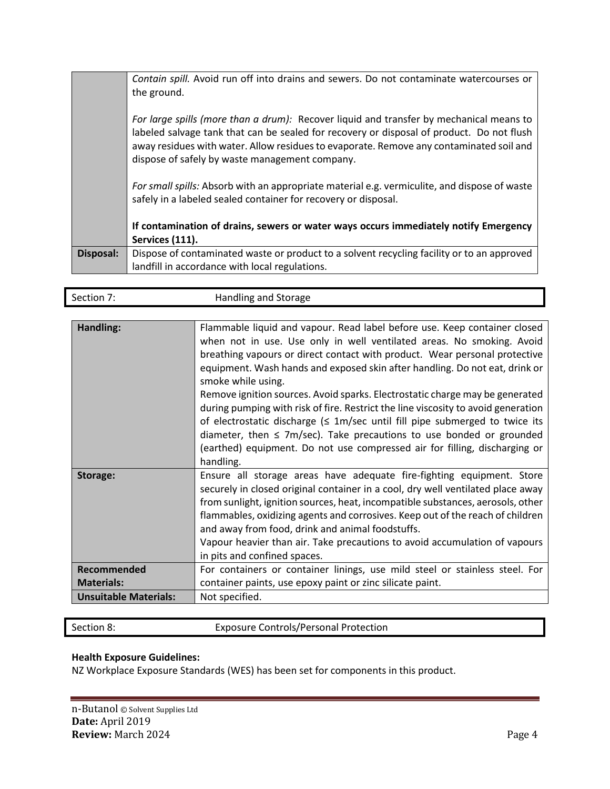|                  | Contain spill. Avoid run off into drains and sewers. Do not contaminate watercourses or<br>the ground.                                                                                                                                                                                                                            |
|------------------|-----------------------------------------------------------------------------------------------------------------------------------------------------------------------------------------------------------------------------------------------------------------------------------------------------------------------------------|
|                  | For large spills (more than a drum): Recover liquid and transfer by mechanical means to<br>labeled salvage tank that can be sealed for recovery or disposal of product. Do not flush<br>away residues with water. Allow residues to evaporate. Remove any contaminated soil and<br>dispose of safely by waste management company. |
|                  | For small spills: Absorb with an appropriate material e.g. vermiculite, and dispose of waste<br>safely in a labeled sealed container for recovery or disposal.                                                                                                                                                                    |
|                  | If contamination of drains, sewers or water ways occurs immediately notify Emergency<br>Services (111).                                                                                                                                                                                                                           |
| <b>Disposal:</b> | Dispose of contaminated waste or product to a solvent recycling facility or to an approved<br>landfill in accordance with local regulations.                                                                                                                                                                                      |

| Section 7:                   | Handling and Storage                                                                                                                                                                                                                                                                                                                                                                                                                                                                                                                                                                                                                                                                                                                                                     |
|------------------------------|--------------------------------------------------------------------------------------------------------------------------------------------------------------------------------------------------------------------------------------------------------------------------------------------------------------------------------------------------------------------------------------------------------------------------------------------------------------------------------------------------------------------------------------------------------------------------------------------------------------------------------------------------------------------------------------------------------------------------------------------------------------------------|
|                              |                                                                                                                                                                                                                                                                                                                                                                                                                                                                                                                                                                                                                                                                                                                                                                          |
| Handling:                    | Flammable liquid and vapour. Read label before use. Keep container closed<br>when not in use. Use only in well ventilated areas. No smoking. Avoid<br>breathing vapours or direct contact with product. Wear personal protective<br>equipment. Wash hands and exposed skin after handling. Do not eat, drink or<br>smoke while using.<br>Remove ignition sources. Avoid sparks. Electrostatic charge may be generated<br>during pumping with risk of fire. Restrict the line viscosity to avoid generation<br>of electrostatic discharge ( $\leq 1$ m/sec until fill pipe submerged to twice its<br>diameter, then $\leq$ 7m/sec). Take precautions to use bonded or grounded<br>(earthed) equipment. Do not use compressed air for filling, discharging or<br>handling. |
| Storage:                     | Ensure all storage areas have adequate fire-fighting equipment. Store<br>securely in closed original container in a cool, dry well ventilated place away<br>from sunlight, ignition sources, heat, incompatible substances, aerosols, other<br>flammables, oxidizing agents and corrosives. Keep out of the reach of children<br>and away from food, drink and animal foodstuffs.<br>Vapour heavier than air. Take precautions to avoid accumulation of vapours<br>in pits and confined spaces.                                                                                                                                                                                                                                                                          |
| Recommended                  | For containers or container linings, use mild steel or stainless steel. For                                                                                                                                                                                                                                                                                                                                                                                                                                                                                                                                                                                                                                                                                              |
| <b>Materials:</b>            | container paints, use epoxy paint or zinc silicate paint.                                                                                                                                                                                                                                                                                                                                                                                                                                                                                                                                                                                                                                                                                                                |
| <b>Unsuitable Materials:</b> | Not specified.                                                                                                                                                                                                                                                                                                                                                                                                                                                                                                                                                                                                                                                                                                                                                           |
|                              |                                                                                                                                                                                                                                                                                                                                                                                                                                                                                                                                                                                                                                                                                                                                                                          |

Section 8: **Exposure Controls/Personal Protection** 

### **Health Exposure Guidelines:**

NZ Workplace Exposure Standards (WES) has been set for components in this product.

1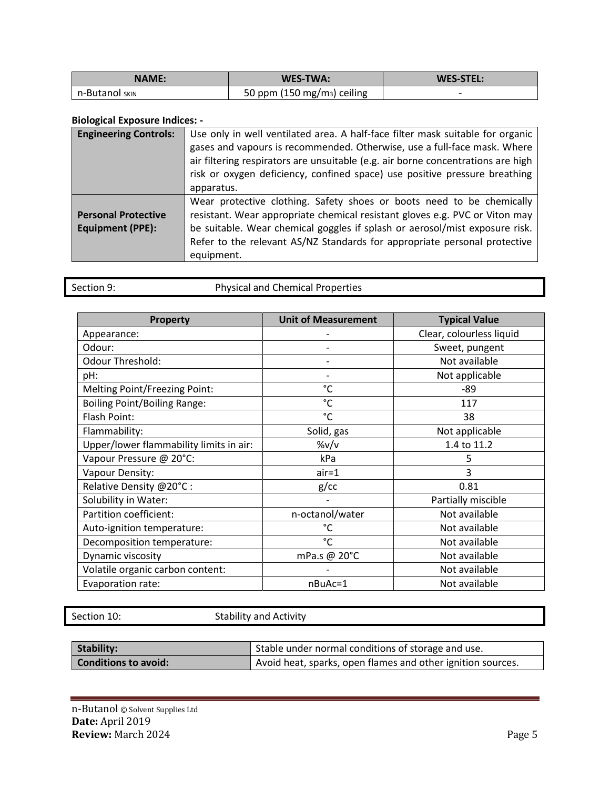| <b>NAME:</b>     | WES-TWA:                                | <b>WES-STEL:</b> |
|------------------|-----------------------------------------|------------------|
| I n-Butanol sкім | 50 ppm (150 mg/m <sub>3</sub> ) ceiling |                  |

#### **Biological Exposure Indices: -**

| <b>Engineering Controls:</b>                          | Use only in well ventilated area. A half-face filter mask suitable for organic<br>gases and vapours is recommended. Otherwise, use a full-face mask. Where<br>air filtering respirators are unsuitable (e.g. air borne concentrations are high<br>risk or oxygen deficiency, confined space) use positive pressure breathing<br>apparatus. |
|-------------------------------------------------------|--------------------------------------------------------------------------------------------------------------------------------------------------------------------------------------------------------------------------------------------------------------------------------------------------------------------------------------------|
| <b>Personal Protective</b><br><b>Equipment (PPE):</b> | Wear protective clothing. Safety shoes or boots need to be chemically<br>resistant. Wear appropriate chemical resistant gloves e.g. PVC or Viton may<br>be suitable. Wear chemical goggles if splash or aerosol/mist exposure risk.<br>Refer to the relevant AS/NZ Standards for appropriate personal protective<br>equipment.             |

| Section 9: |  |
|------------|--|
|            |  |

Physical and Chemical Properties

| Property                                | <b>Unit of Measurement</b> | <b>Typical Value</b>     |
|-----------------------------------------|----------------------------|--------------------------|
| Appearance:                             |                            | Clear, colourless liquid |
| Odour:                                  |                            | Sweet, pungent           |
| <b>Odour Threshold:</b>                 |                            | Not available            |
| pH:                                     |                            | Not applicable           |
| Melting Point/Freezing Point:           | °C                         | -89                      |
| <b>Boiling Point/Boiling Range:</b>     | °C                         | 117                      |
| Flash Point:                            | °C                         | 38                       |
| Flammability:                           | Solid, gas                 | Not applicable           |
| Upper/lower flammability limits in air: | %v/v                       | 1.4 to 11.2              |
| Vapour Pressure @ 20°C:                 | kPa                        | 5                        |
| Vapour Density:                         | $air = 1$                  | 3                        |
| Relative Density @20°C:                 | $g$ / $cc$                 | 0.81                     |
| Solubility in Water:                    |                            | Partially miscible       |
| Partition coefficient:                  | n-octanol/water            | Not available            |
| Auto-ignition temperature:              | °C                         | Not available            |
| Decomposition temperature:              | °C                         | Not available            |
| Dynamic viscosity                       | mPa.s @ 20°C               | Not available            |
| Volatile organic carbon content:        |                            | Not available            |
| Evaporation rate:                       | nBuAc=1                    | Not available            |

Section 10: Stability and Activity

| Stability:                  | If Stable under normal conditions of storage and use.       |
|-----------------------------|-------------------------------------------------------------|
| <b>Conditions to avoid:</b> | Avoid heat, sparks, open flames and other ignition sources. |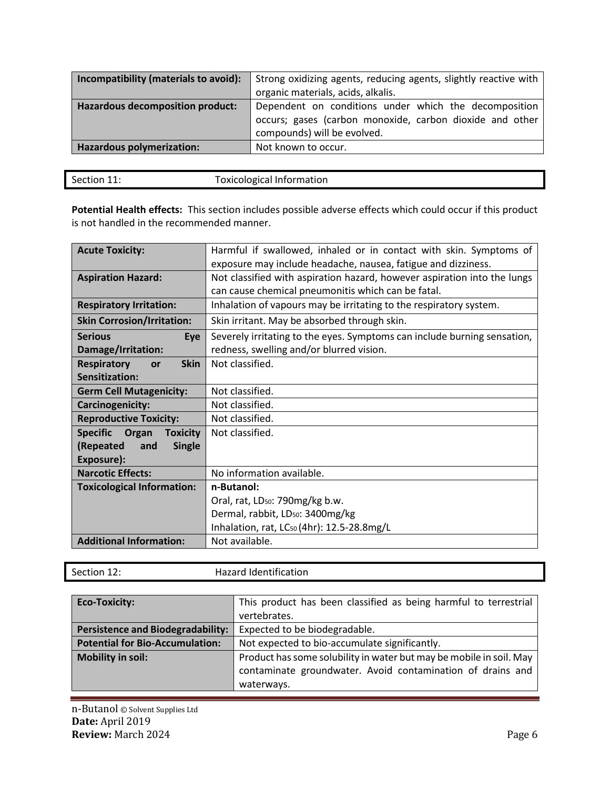| Incompatibility (materials to avoid):   | Strong oxidizing agents, reducing agents, slightly reactive with<br>organic materials, acids, alkalis.                                           |
|-----------------------------------------|--------------------------------------------------------------------------------------------------------------------------------------------------|
| <b>Hazardous decomposition product:</b> | Dependent on conditions under which the decomposition<br>occurs; gases (carbon monoxide, carbon dioxide and other<br>compounds) will be evolved. |
| Hazardous polymerization:               | Not known to occur.                                                                                                                              |

| Section 11: | <b>Toxicological Information</b> |
|-------------|----------------------------------|
|             |                                  |
|             |                                  |

**Potential Health effects:** This section includes possible adverse effects which could occur if this product is not handled in the recommended manner.

| <b>Acute Toxicity:</b>                      | Harmful if swallowed, inhaled or in contact with skin. Symptoms of       |
|---------------------------------------------|--------------------------------------------------------------------------|
|                                             | exposure may include headache, nausea, fatigue and dizziness.            |
| <b>Aspiration Hazard:</b>                   | Not classified with aspiration hazard, however aspiration into the lungs |
|                                             | can cause chemical pneumonitis which can be fatal.                       |
| <b>Respiratory Irritation:</b>              | Inhalation of vapours may be irritating to the respiratory system.       |
| <b>Skin Corrosion/Irritation:</b>           | Skin irritant. May be absorbed through skin.                             |
| <b>Serious</b><br>Eye                       | Severely irritating to the eyes. Symptoms can include burning sensation, |
| Damage/Irritation:                          | redness, swelling and/or blurred vision.                                 |
| <b>Respiratory</b><br><b>Skin</b><br>or     | Not classified.                                                          |
| Sensitization:                              |                                                                          |
| <b>Germ Cell Mutagenicity:</b>              | Not classified.                                                          |
| <b>Carcinogenicity:</b>                     | Not classified.                                                          |
| <b>Reproductive Toxicity:</b>               | Not classified.                                                          |
| <b>Specific</b><br>Organ<br><b>Toxicity</b> | Not classified.                                                          |
| (Repeated<br><b>Single</b><br>and           |                                                                          |
| Exposure):                                  |                                                                          |
| <b>Narcotic Effects:</b>                    | No information available.                                                |
| <b>Toxicological Information:</b>           | n-Butanol:                                                               |
|                                             | Oral, rat, LD <sub>50</sub> : 790mg/kg b.w.                              |
|                                             | Dermal, rabbit, LD <sub>50</sub> : 3400mg/kg                             |
|                                             | Inhalation, rat, LC <sub>50</sub> (4hr): 12.5-28.8mg/L                   |
| <b>Additional Information:</b>              | Not available.                                                           |

| Section 12:                              | <b>Hazard Identification</b>                                        |
|------------------------------------------|---------------------------------------------------------------------|
|                                          |                                                                     |
| <b>Eco-Toxicity:</b>                     | This product has been classified as being harmful to terrestrial    |
|                                          | vertebrates.                                                        |
| <b>Persistence and Biodegradability:</b> | Expected to be biodegradable.                                       |
| <b>Potential for Bio-Accumulation:</b>   | Not expected to bio-accumulate significantly.                       |
| <b>Mobility in soil:</b>                 | Product has some solubility in water but may be mobile in soil. May |
|                                          | contaminate groundwater. Avoid contamination of drains and          |
|                                          | waterways.                                                          |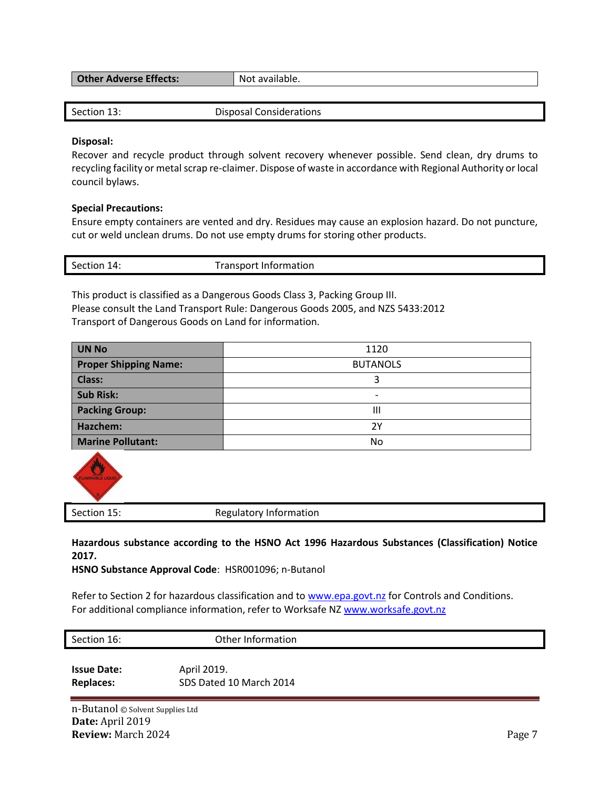| <b>Other Adverse Effects:</b> | * available.<br>NOT. |
|-------------------------------|----------------------|
|                               |                      |

| Section 13: | Disposal Considerations |
|-------------|-------------------------|
|             |                         |

#### **Disposal:**

Recover and recycle product through solvent recovery whenever possible. Send clean, dry drums to recycling facility or metal scrap re-claimer. Dispose of waste in accordance with Regional Authority or local council bylaws.

#### **Special Precautions:**

Ensure empty containers are vented and dry. Residues may cause an explosion hazard. Do not puncture, cut or weld unclean drums. Do not use empty drums for storing other products.

| Section 14: | <b>Transport Information</b> |
|-------------|------------------------------|
|             |                              |

This product is classified as a Dangerous Goods Class 3, Packing Group III. Please consult the Land Transport Rule: Dangerous Goods 2005, and NZS 5433:2012 Transport of Dangerous Goods on Land for information.

| <b>UN No</b>                 | 1120            |
|------------------------------|-----------------|
| <b>Proper Shipping Name:</b> | <b>BUTANOLS</b> |
| <b>Class:</b>                |                 |
| <b>Sub Risk:</b>             | ۰               |
| <b>Packing Group:</b>        | Ш               |
| Hazchem:                     | 2Υ              |
| <b>Marine Pollutant:</b>     | No              |



Section 15: Regulatory Information

**Hazardous substance according to the HSNO Act 1996 Hazardous Substances (Classification) Notice 2017.** 

**HSNO Substance Approval Code**: HSR001096; n-Butanol

Refer to Section 2 for hazardous classification and to [www.epa.govt.nz](http://www.epa.govt.nz/) for Controls and Conditions. For additional compliance information, refer to Worksafe NZ [www.worksafe.govt.nz](http://www.worksafe.govt.nz/)

| Section 16:        | Other Information       |
|--------------------|-------------------------|
| <b>Issue Date:</b> | April 2019.             |
| <b>Replaces:</b>   | SDS Dated 10 March 2014 |